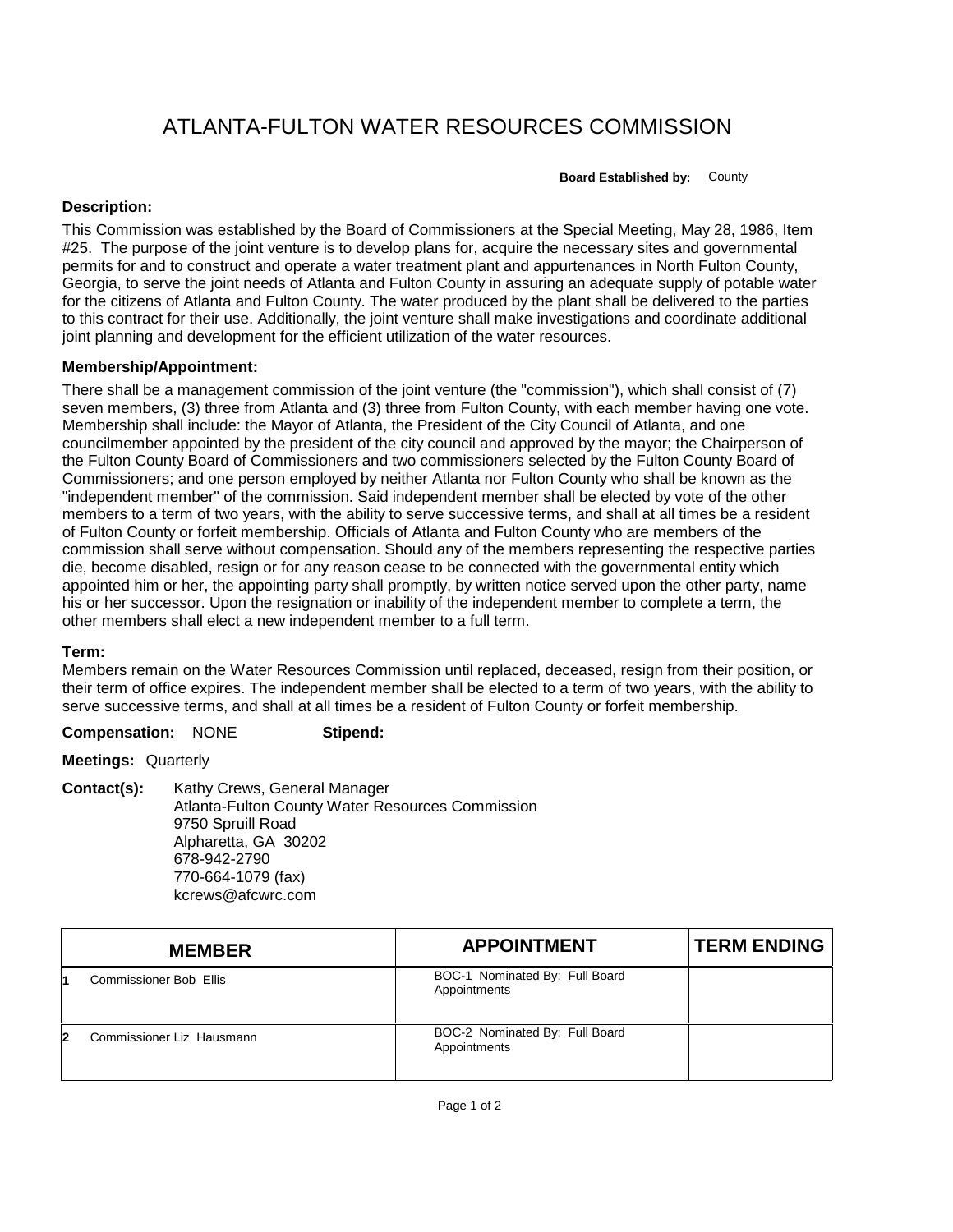# ATLANTA-FULTON WATER RESOURCES COMMISSION

**Board Established by:** County

# **Description:**

This Commission was established by the Board of Commissioners at the Special Meeting, May 28, 1986, Item #25. The purpose of the joint venture is to develop plans for, acquire the necessary sites and governmental permits for and to construct and operate a water treatment plant and appurtenances in North Fulton County, Georgia, to serve the joint needs of Atlanta and Fulton County in assuring an adequate supply of potable water for the citizens of Atlanta and Fulton County. The water produced by the plant shall be delivered to the parties to this contract for their use. Additionally, the joint venture shall make investigations and coordinate additional joint planning and development for the efficient utilization of the water resources.

### **Membership/Appointment:**

There shall be a management commission of the joint venture (the "commission"), which shall consist of (7) seven members, (3) three from Atlanta and (3) three from Fulton County, with each member having one vote. Membership shall include: the Mayor of Atlanta, the President of the City Council of Atlanta, and one councilmember appointed by the president of the city council and approved by the mayor; the Chairperson of the Fulton County Board of Commissioners and two commissioners selected by the Fulton County Board of Commissioners; and one person employed by neither Atlanta nor Fulton County who shall be known as the "independent member" of the commission. Said independent member shall be elected by vote of the other members to a term of two years, with the ability to serve successive terms, and shall at all times be a resident of Fulton County or forfeit membership. Officials of Atlanta and Fulton County who are members of the commission shall serve without compensation. Should any of the members representing the respective parties die, become disabled, resign or for any reason cease to be connected with the governmental entity which appointed him or her, the appointing party shall promptly, by written notice served upon the other party, name his or her successor. Upon the resignation or inability of the independent member to complete a term, the other members shall elect a new independent member to a full term.

# **Term:**

Members remain on the Water Resources Commission until replaced, deceased, resign from their position, or their term of office expires. The independent member shall be elected to a term of two years, with the ability to serve successive terms, and shall at all times be a resident of Fulton County or forfeit membership.

#### **Compensation:** NONE **Stipend:**

**Meetings:** Quarterly

**Contact(s):** Kathy Crews, General Manager Atlanta-Fulton County Water Resources Commission 9750 Spruill Road Alpharetta, GA 30202 678-942-2790 770-664-1079 (fax) kcrews@afcwrc.com

| <b>MEMBER</b>                  | <b>APPOINTMENT</b>                             | <b>TERM ENDING</b> |
|--------------------------------|------------------------------------------------|--------------------|
| <b>Commissioner Bob Ellis</b>  | BOC-1 Nominated By: Full Board<br>Appointments |                    |
| Commissioner Liz Hausmann<br>2 | BOC-2 Nominated By: Full Board<br>Appointments |                    |